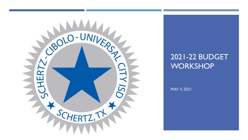

# 2021-22 BUDGET **WORKSHOP**

MAY 4, 2021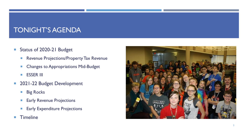# TONIGHT'S AGENDA

- Status of 2020-21 Budget
	- **Revenue Projections/Property Tax Revenue**
	- **Changes to Appropriations Mid-Budget**
	- **ESSER III**
- **2021-22 Budget Development** 
	- **Big Rocks**
	- **Early Revenue Projections**
	- **Early Expenditure Projections**
- **Timeline**

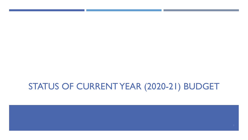# STATUS OF CURRENT YEAR (2020-21) BUDGET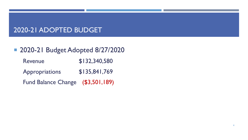# 2020-21 ADOPTED BUDGET

# **2020-21 Budget Adopted 8/27/2020**

Revenue \$132,340,580 Appropriations \$135,841,769 Fund Balance Change (\$3,501,189)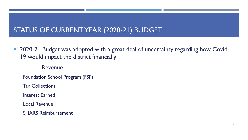# STATUS OF CURRENT YEAR (2020-21) BUDGET

■ 2020-21 Budget was adopted with a great deal of uncertainty regarding how Covid-19 would impact the district financially

Revenue

Foundation School Program (FSP)

Tax Collections

Interest Earned

Local Revenue

SHARS Reimbursement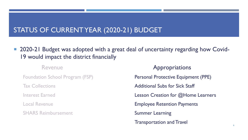# STATUS OF CURRENT YEAR (2020-21) BUDGET

■ 2020-21 Budget was adopted with a great deal of uncertainty regarding how Covid-19 would impact the district financially

SHARS Reimbursement **SHARS Reimbursement** Summer Learning

Revenue **Appropriations** Foundation School Program (FSP) **Personal Protective Equipment (PPE)** Tax Collections **Tax Collections Additional Subs for Sick Staff** Interest Earned **Lesson Creation for @Home Learners** Local Revenue **Employee Retention Payments** Transportation and Travel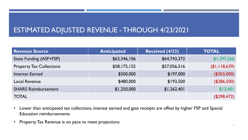# ESTIMATED ADJUSTED REVENUE -THROUGH 4/23/2021

| <b>Revenue Source</b>           | <b>Anticipated</b> | <b>Received (4/23)</b> | <b>TOTAL</b>       |
|---------------------------------|--------------------|------------------------|--------------------|
| <b>State Funding (ASF+FSP)</b>  | \$63,346,106       | \$64,743,372           | \$1,397,266        |
| <b>Property Tax Collections</b> | \$58,175,155       | \$57,056,516           | (\$1,118,639)      |
| <b>Interest Earned</b>          | \$500,000          | \$197,000              | (\$303,000)        |
| <b>Local Revenue</b>            | \$480,000          | \$193,500              | (\$286,500)        |
| <b>SHARS Reimbursement</b>      | \$1,250,000        | \$1,262,401            | \$12,401           |
| <b>TOTAL</b>                    |                    |                        | $($ \$298,472) $ $ |

- Lower than anticipated tax collections, interest earned and gate receipts are offset by higher FSP and Special Education reimbursements
- Property Tax Revenue is on pace to meet projections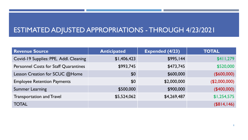# ESTIMATED ADJUSTED APPROPRIATIONS -THROUGH 4/23/2021

| <b>Revenue Source</b>                        | <b>Anticipated</b> | <b>Expended (4/23)</b> | <b>TOTAL</b>  |
|----------------------------------------------|--------------------|------------------------|---------------|
| Covid-19 Supplies: PPE, Addl. Cleaning       | \$1,406,423        | \$995,144              | \$411,279     |
| <b>Personnel Costs for Staff Quarantines</b> | \$993,745          | \$473,745              | \$520,000     |
| Lesson Creation for SCUC @Home               | \$0                | \$600,000              | (\$600,000)   |
| <b>Employee Retention Payments</b>           | \$0                | \$2,000,000            | (\$2,000,000) |
| <b>Summer Learning</b>                       | \$500,000          | \$900,000              | (\$400,000)   |
| <b>Transportation and Travel</b>             | \$5,524,062        | \$4,269,487            | \$1,254,575   |
| <b>TOTAL</b>                                 |                    |                        | (\$814, 146)  |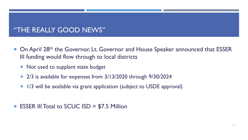### "THE REALLY GOOD NEWS"

- On April 28<sup>th</sup> the Governor, Lt. Governor and House Speaker announced that ESSER III funding would flow through to local districts
	- Not used to supplant state budget
	- 2/3 is available for expenses from 3/13/2020 through 9/30/2024
	- **1/3 will be available via grant application (subject to USDE approval)**
- **ESSER III Total to SCUC ISD = \$7.5 Million**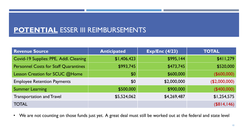# **POTENTIAL** ESSER III REIMBURSEMENTS

| <b>Revenue Source</b>                        | <b>Anticipated</b> | <b>Exp/Enc (4/23)</b> | <b>TOTAL</b>  |
|----------------------------------------------|--------------------|-----------------------|---------------|
| Covid-19 Supplies: PPE, Addl. Cleaning       | \$1,406,423        | \$995,144             | \$411,279     |
| <b>Personnel Costs for Staff Quarantines</b> | \$993,745          | \$473,745             | \$520,000     |
| Lesson Creation for SCUC @Home               | \$0                | \$600,000             | (\$600,000)   |
| <b>Employee Retention Payments</b>           | \$0                | \$2,000,000           | (\$2,000,000) |
| <b>Summer Learning</b>                       | \$500,000          | \$900,000             | (\$400,000)   |
| <b>Transportation and Travel</b>             | \$5,524,062        | \$4,269,487           | \$1,254,575   |
| <b>TOTAL</b>                                 |                    |                       | (\$814, 146)  |

• We are not counting on those funds just yet. A great deal must still be worked out at the federal and state level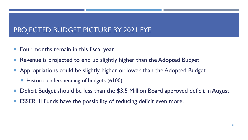# PROJECTED BUDGET PICTURE BY 2021 FYE

- **Figure 1** Four months remain in this fiscal year
- Revenue is projected to end up slightly higher than the Adopted Budget
- Appropriations could be slightly higher or lower than the Adopted Budget
	- **Historic underspending of budgets (6100)**
- Deficit Budget should be less than the \$3.5 Million Board approved deficit in August
- ESSER III Funds have the possibility of reducing deficit even more.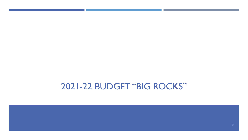# 2021-22 BUDGET "BIG ROCKS"

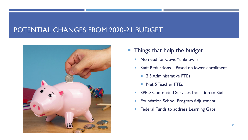### POTENTIAL CHANGES FROM 2020-21 BUDGET



- **Things that help the budget** 
	- No need for Covid "unknowns"
	- Staff Reductions Based on lower enrollment
		- **2.5 Administrative FTEs**
		- Net 5 Teacher FTEs
	- SPED Contracted Services Transition to Staff
	- **Foundation School Program Adjustment**
	- **Federal Funds to address Learning Gaps**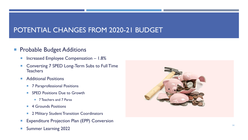# POTENTIAL CHANGES FROM 2020-21 BUDGET

#### **Probable Budget Additions**

- Increased Employee Compensation 1.8%
- Converting 7 SPED Long-Term Subs to Full Time **Teachers**
- **Additional Positions** 
	- 7 Paraprofessional Positions
	- **SPED Positions Due to Growth** 
		- 7 Teachers and 7 Paras
	- **4 Grounds Positions**
	- **2 Military Student Transition Coordinators**
- **Expenditure Projection Plan (EPP) Conversion**
- **Summer Learning 2022**

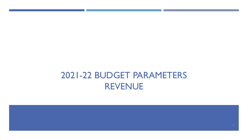# 2021-22 BUDGET PARAMETERS REVENUE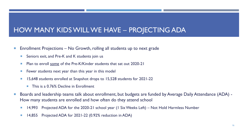# HOW MANY KIDS WILL WE HAVE – PROJECTING ADA

- **Enrollment Projections No Growth, rolling all students up to next grade** 
	- Seniors exit, and Pre-K and K students join us
	- Plan to enroll some of the Pre-K/Kinder students that sat out 2020-21
	- **Fewer students next year than this year in this model**
	- 15,648 students enrolled at Snapshot drops to 15,528 students for 2021-22
		- This is a 0.76% Decline in Enrollment
- Boards and leadership teams talk about enrollment, but budgets are funded by Average Daily Attendance (ADA) -How many students are enrolled and how often do they attend school
	- 14,993 Projected ADA for the 2020-21 school year (1 Six Weeks Left) Not Hold Harmless Number
	- **14,855** Projected ADA for 2021-22 (0.92% reduction in ADA)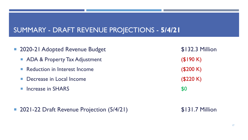# SUMMARY - DRAFT REVENUE PROJECTIONS - **5/4/21**

- 2020-21 Adopted Revenue Budget \$132.3 Million **ADA & Property Tax Adjustment** (\$190 K) ■ Reduction in Interest Income (\$200 K) ■ Decrease in Local Income (\$220 K) **Increase in SHARS** \$0
	- 2021-22 Draft Revenue Projection (5/4/21) \$131.7 Million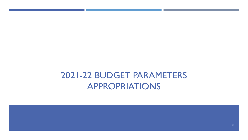# 2021-22 BUDGET PARAMETERS APPROPRIATIONS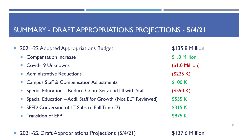# SUMMARY - DRAFT APPROPRIATIONS PROJECTIONS - **5/4/21**

| ■ 2021-22 Adopted Appropriations Budget                         | \$135.8 Million         |
|-----------------------------------------------------------------|-------------------------|
| <b>Compensation Increase</b>                                    | \$1.8 Million           |
| • Covid-19 Unknowns                                             | $($I.0\text{ Million})$ |
| Administrative Reductions                                       | (\$225 K)               |
| • Campus Staff & Compensation Adjustments                       | \$100K                  |
| • Special Education – Reduce Contr. Serv. and fill with Staff   | (\$590 K)               |
| • Special Education – Addl. Staff for Growth (Not ELT Reviewed) | \$555 K                 |
| • SPED Conversion of LT Subs to Full Time (7)                   | \$315K                  |
| <b>Transition of EPP</b>                                        | \$875 K                 |
|                                                                 |                         |

■ 2021-22 Draft Appropriations Projections (5/4/21) \$137.6 Million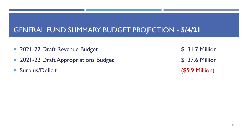# GENERAL FUND SUMMARY BUDGET PROJECTION - **5/4/21**

- 2021-22 Draft Revenue Budget \$131.7 Million
- 2021-22 Draft Appropriations Budget \$137.6 Million
- Surplus/Deficit (\$5.9 Million)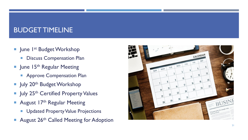# BUDGET TIMELINE

- **June 1st Budget Workshop** 
	- **Discuss Compensation Plan**
- $\blacksquare$  June 15<sup>th</sup> Regular Meeting
	- **Approve Compensation Plan**
- $\blacksquare$  July 20<sup>th</sup> Budget Workshop
- I July 25<sup>th</sup> Certified Property Values
- **August 17th Regular Meeting** 
	- **Updated Property Value Projections**
- August 26<sup>th</sup> Called Meeting for Adoption